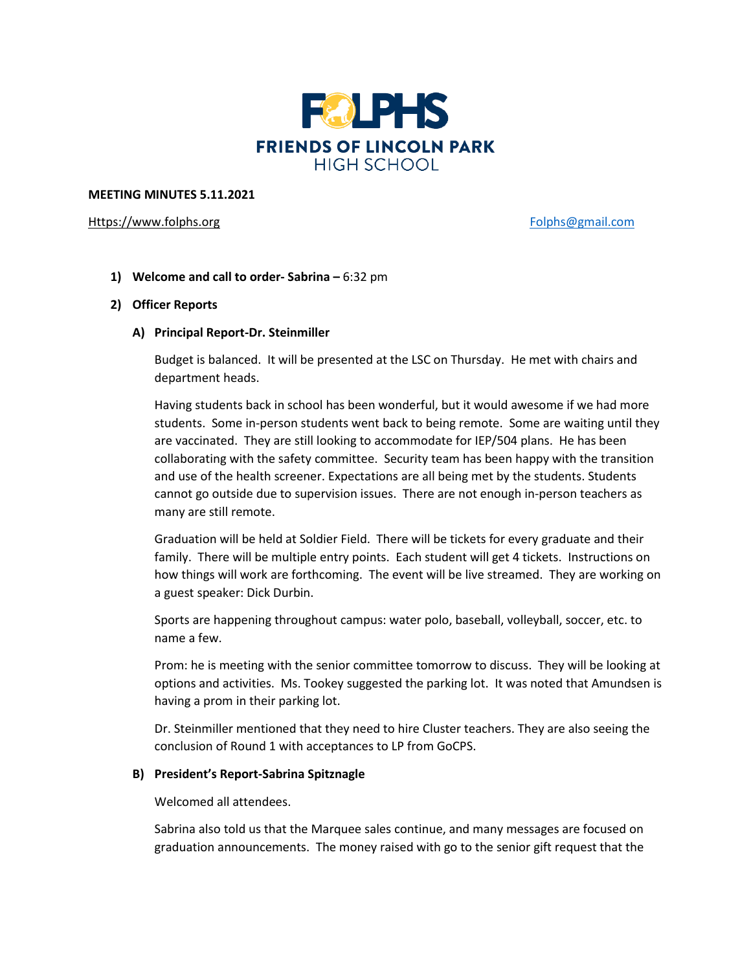

#### **MEETING MINUTES 5.11.2021**

## [Https://www.folphs.org](https://www.folphs.org/) example and the example of the [Folphs@gmail.com](mailto:Folphs@gmail.com)

**1) Welcome and call to order- Sabrina –** 6:32 pm

## **2) Officer Reports**

**A) Principal Report-Dr. Steinmiller**

Budget is balanced. It will be presented at the LSC on Thursday. He met with chairs and department heads.

Having students back in school has been wonderful, but it would awesome if we had more students. Some in-person students went back to being remote. Some are waiting until they are vaccinated. They are still looking to accommodate for IEP/504 plans. He has been collaborating with the safety committee. Security team has been happy with the transition and use of the health screener. Expectations are all being met by the students. Students cannot go outside due to supervision issues. There are not enough in-person teachers as many are still remote.

Graduation will be held at Soldier Field. There will be tickets for every graduate and their family. There will be multiple entry points. Each student will get 4 tickets. Instructions on how things will work are forthcoming. The event will be live streamed. They are working on a guest speaker: Dick Durbin.

Sports are happening throughout campus: water polo, baseball, volleyball, soccer, etc. to name a few.

Prom: he is meeting with the senior committee tomorrow to discuss. They will be looking at options and activities. Ms. Tookey suggested the parking lot. It was noted that Amundsen is having a prom in their parking lot.

Dr. Steinmiller mentioned that they need to hire Cluster teachers. They are also seeing the conclusion of Round 1 with acceptances to LP from GoCPS.

#### **B) President's Report-Sabrina Spitznagle**

Welcomed all attendees.

Sabrina also told us that the Marquee sales continue, and many messages are focused on graduation announcements. The money raised with go to the senior gift request that the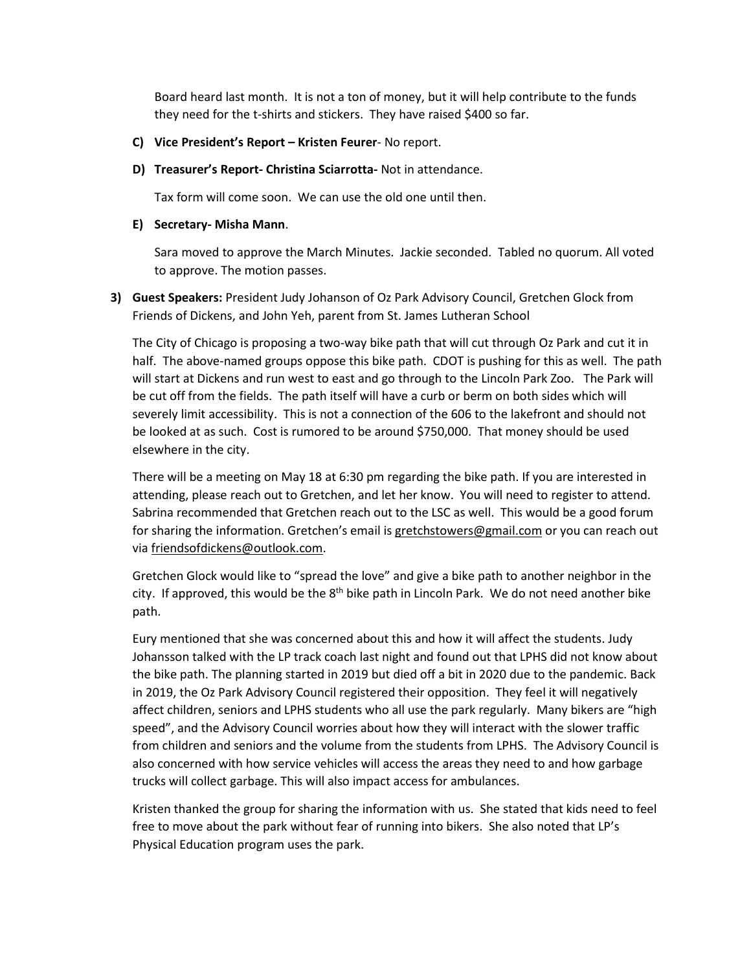Board heard last month. It is not a ton of money, but it will help contribute to the funds they need for the t-shirts and stickers. They have raised \$400 so far.

- **C) Vice President's Report – Kristen Feurer** No report.
- **D) Treasurer's Report- Christina Sciarrotta-** Not in attendance.

Tax form will come soon. We can use the old one until then.

# **E) Secretary- Misha Mann**.

Sara moved to approve the March Minutes. Jackie seconded. Tabled no quorum. All voted to approve. The motion passes.

**3) Guest Speakers:** President Judy Johanson of Oz Park Advisory Council, Gretchen Glock from Friends of Dickens, and John Yeh, parent from St. James Lutheran School

The City of Chicago is proposing a two-way bike path that will cut through Oz Park and cut it in half. The above-named groups oppose this bike path. CDOT is pushing for this as well. The path will start at Dickens and run west to east and go through to the Lincoln Park Zoo. The Park will be cut off from the fields. The path itself will have a curb or berm on both sides which will severely limit accessibility. This is not a connection of the 606 to the lakefront and should not be looked at as such. Cost is rumored to be around \$750,000. That money should be used elsewhere in the city.

There will be a meeting on May 18 at 6:30 pm regarding the bike path. If you are interested in attending, please reach out to Gretchen, and let her know. You will need to register to attend. Sabrina recommended that Gretchen reach out to the LSC as well. This would be a good forum for sharing the information. Gretchen's email is [gretchstowers@gmail.com](mailto:gretchstowers@gmail.com) or you can reach out via [friendsofdickens@outlook.com.](mailto:friendsofdickens@outlook.com)

Gretchen Glock would like to "spread the love" and give a bike path to another neighbor in the city. If approved, this would be the 8<sup>th</sup> bike path in Lincoln Park. We do not need another bike path.

Eury mentioned that she was concerned about this and how it will affect the students. Judy Johansson talked with the LP track coach last night and found out that LPHS did not know about the bike path. The planning started in 2019 but died off a bit in 2020 due to the pandemic. Back in 2019, the Oz Park Advisory Council registered their opposition. They feel it will negatively affect children, seniors and LPHS students who all use the park regularly. Many bikers are "high speed", and the Advisory Council worries about how they will interact with the slower traffic from children and seniors and the volume from the students from LPHS. The Advisory Council is also concerned with how service vehicles will access the areas they need to and how garbage trucks will collect garbage. This will also impact access for ambulances.

Kristen thanked the group for sharing the information with us. She stated that kids need to feel free to move about the park without fear of running into bikers. She also noted that LP's Physical Education program uses the park.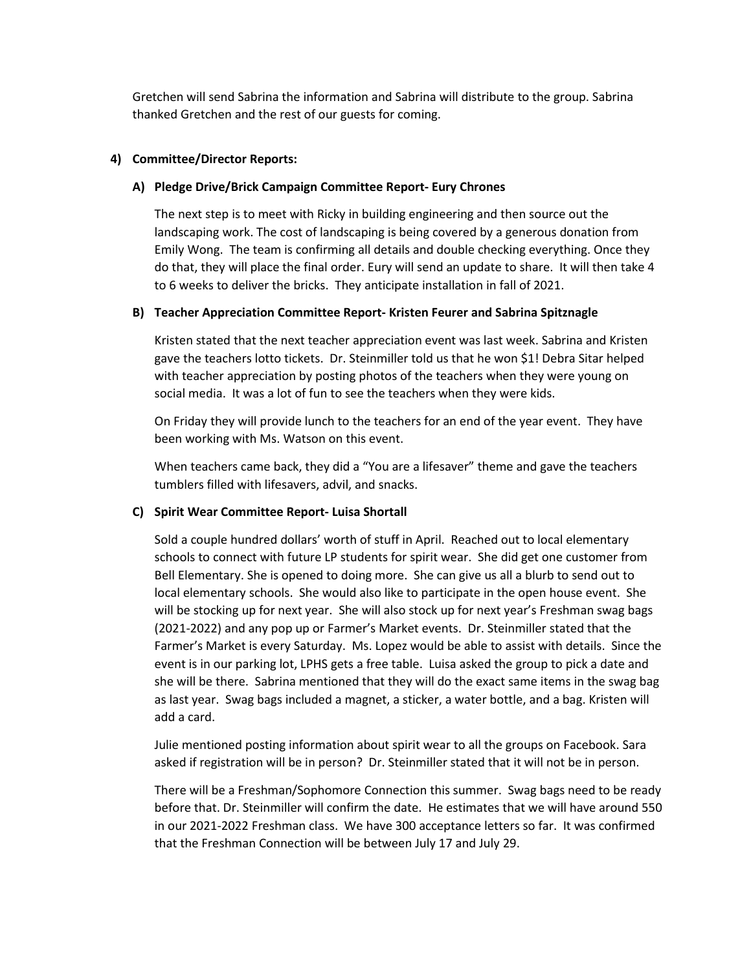Gretchen will send Sabrina the information and Sabrina will distribute to the group. Sabrina thanked Gretchen and the rest of our guests for coming.

## **4) Committee/Director Reports:**

## **A) Pledge Drive/Brick Campaign Committee Report- Eury Chrones**

The next step is to meet with Ricky in building engineering and then source out the landscaping work. The cost of landscaping is being covered by a generous donation from Emily Wong. The team is confirming all details and double checking everything. Once they do that, they will place the final order. Eury will send an update to share. It will then take 4 to 6 weeks to deliver the bricks. They anticipate installation in fall of 2021.

# **B) Teacher Appreciation Committee Report- Kristen Feurer and Sabrina Spitznagle**

Kristen stated that the next teacher appreciation event was last week. Sabrina and Kristen gave the teachers lotto tickets. Dr. Steinmiller told us that he won \$1! Debra Sitar helped with teacher appreciation by posting photos of the teachers when they were young on social media. It was a lot of fun to see the teachers when they were kids.

On Friday they will provide lunch to the teachers for an end of the year event. They have been working with Ms. Watson on this event.

When teachers came back, they did a "You are a lifesaver" theme and gave the teachers tumblers filled with lifesavers, advil, and snacks.

# **C) Spirit Wear Committee Report- Luisa Shortall**

Sold a couple hundred dollars' worth of stuff in April. Reached out to local elementary schools to connect with future LP students for spirit wear. She did get one customer from Bell Elementary. She is opened to doing more. She can give us all a blurb to send out to local elementary schools. She would also like to participate in the open house event. She will be stocking up for next year. She will also stock up for next year's Freshman swag bags (2021-2022) and any pop up or Farmer's Market events. Dr. Steinmiller stated that the Farmer's Market is every Saturday. Ms. Lopez would be able to assist with details. Since the event is in our parking lot, LPHS gets a free table. Luisa asked the group to pick a date and she will be there. Sabrina mentioned that they will do the exact same items in the swag bag as last year. Swag bags included a magnet, a sticker, a water bottle, and a bag. Kristen will add a card.

Julie mentioned posting information about spirit wear to all the groups on Facebook. Sara asked if registration will be in person? Dr. Steinmiller stated that it will not be in person.

There will be a Freshman/Sophomore Connection this summer. Swag bags need to be ready before that. Dr. Steinmiller will confirm the date. He estimates that we will have around 550 in our 2021-2022 Freshman class. We have 300 acceptance letters so far. It was confirmed that the Freshman Connection will be between July 17 and July 29.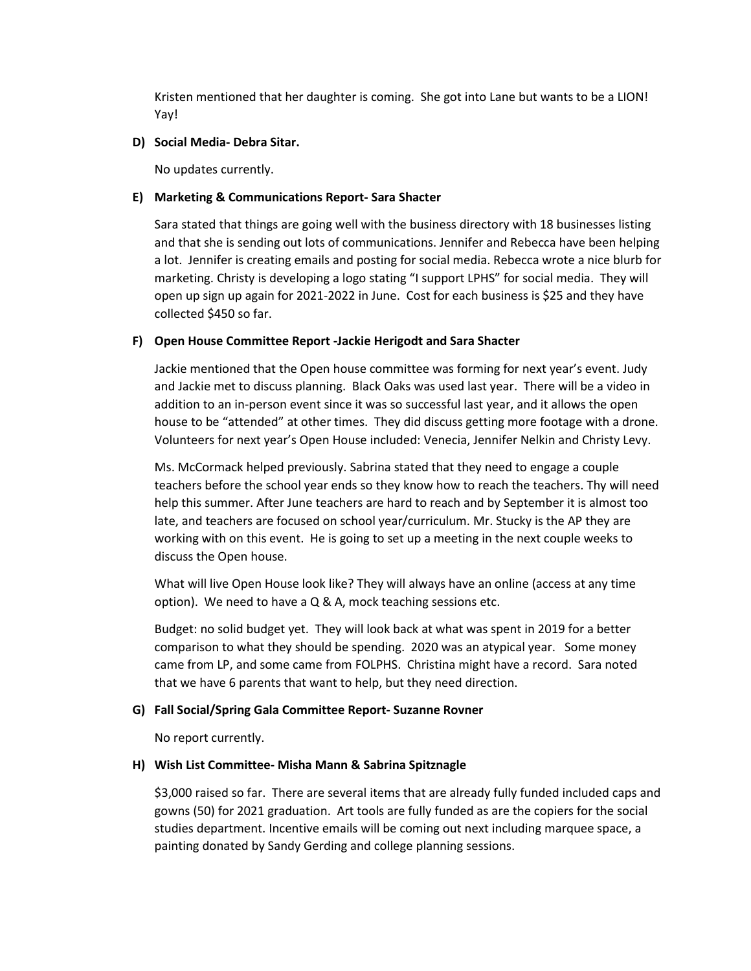Kristen mentioned that her daughter is coming. She got into Lane but wants to be a LION! Yay!

## **D) Social Media- Debra Sitar.**

No updates currently.

## **E) Marketing & Communications Report- Sara Shacter**

Sara stated that things are going well with the business directory with 18 businesses listing and that she is sending out lots of communications. Jennifer and Rebecca have been helping a lot. Jennifer is creating emails and posting for social media. Rebecca wrote a nice blurb for marketing. Christy is developing a logo stating "I support LPHS" for social media. They will open up sign up again for 2021-2022 in June. Cost for each business is \$25 and they have collected \$450 so far.

# **F) Open House Committee Report -Jackie Herigodt and Sara Shacter**

Jackie mentioned that the Open house committee was forming for next year's event. Judy and Jackie met to discuss planning. Black Oaks was used last year. There will be a video in addition to an in-person event since it was so successful last year, and it allows the open house to be "attended" at other times. They did discuss getting more footage with a drone. Volunteers for next year's Open House included: Venecia, Jennifer Nelkin and Christy Levy.

Ms. McCormack helped previously. Sabrina stated that they need to engage a couple teachers before the school year ends so they know how to reach the teachers. Thy will need help this summer. After June teachers are hard to reach and by September it is almost too late, and teachers are focused on school year/curriculum. Mr. Stucky is the AP they are working with on this event. He is going to set up a meeting in the next couple weeks to discuss the Open house.

What will live Open House look like? They will always have an online (access at any time option). We need to have a Q & A, mock teaching sessions etc.

Budget: no solid budget yet. They will look back at what was spent in 2019 for a better comparison to what they should be spending. 2020 was an atypical year. Some money came from LP, and some came from FOLPHS. Christina might have a record. Sara noted that we have 6 parents that want to help, but they need direction.

# **G) Fall Social/Spring Gala Committee Report- Suzanne Rovner**

No report currently.

# **H) Wish List Committee- Misha Mann & Sabrina Spitznagle**

\$3,000 raised so far. There are several items that are already fully funded included caps and gowns (50) for 2021 graduation. Art tools are fully funded as are the copiers for the social studies department. Incentive emails will be coming out next including marquee space, a painting donated by Sandy Gerding and college planning sessions.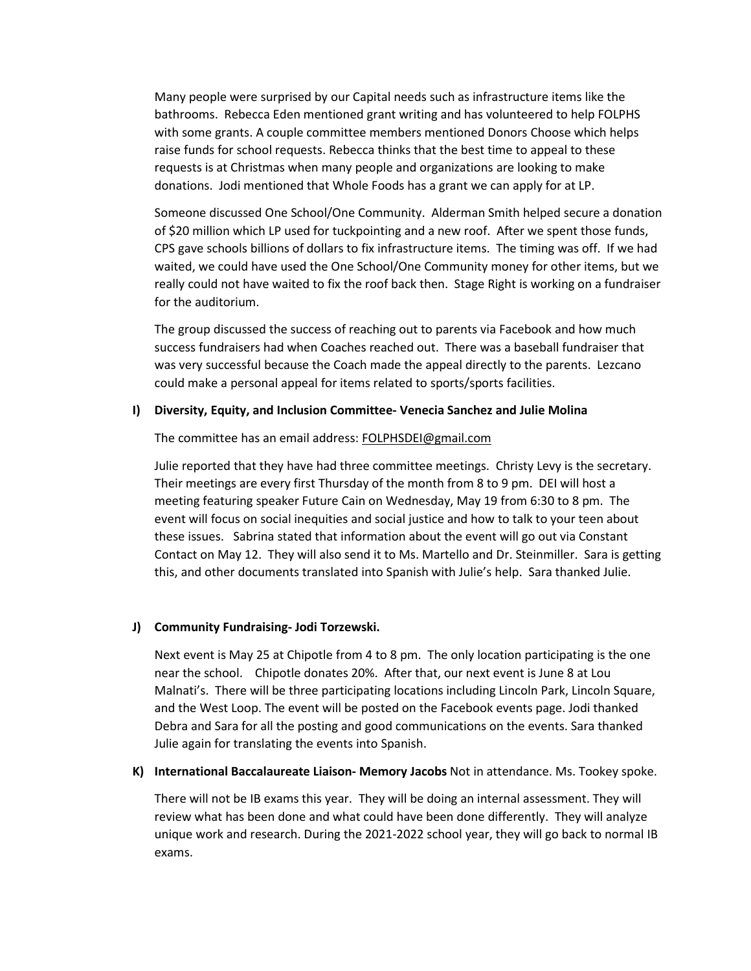Many people were surprised by our Capital needs such as infrastructure items like the bathrooms. Rebecca Eden mentioned grant writing and has volunteered to help FOLPHS with some grants. A couple committee members mentioned Donors Choose which helps raise funds for school requests. Rebecca thinks that the best time to appeal to these requests is at Christmas when many people and organizations are looking to make donations. Jodi mentioned that Whole Foods has a grant we can apply for at LP.

Someone discussed One School/One Community. Alderman Smith helped secure a donation of \$20 million which LP used for tuckpointing and a new roof. After we spent those funds, CPS gave schools billions of dollars to fix infrastructure items. The timing was off. If we had waited, we could have used the One School/One Community money for other items, but we really could not have waited to fix the roof back then. Stage Right is working on a fundraiser for the auditorium.

The group discussed the success of reaching out to parents via Facebook and how much success fundraisers had when Coaches reached out. There was a baseball fundraiser that was very successful because the Coach made the appeal directly to the parents. Lezcano could make a personal appeal for items related to sports/sports facilities.

#### **I) Diversity, Equity, and Inclusion Committee- Venecia Sanchez and Julie Molina**

#### The committee has an email address: [FOLPHSDEI@gmail.com](mailto:FOLPHSDEI@gmail.com)

Julie reported that they have had three committee meetings. Christy Levy is the secretary. Their meetings are every first Thursday of the month from 8 to 9 pm. DEI will host a meeting featuring speaker Future Cain on Wednesday, May 19 from 6:30 to 8 pm. The event will focus on social inequities and social justice and how to talk to your teen about these issues. Sabrina stated that information about the event will go out via Constant Contact on May 12. They will also send it to Ms. Martello and Dr. Steinmiller. Sara is getting this, and other documents translated into Spanish with Julie's help. Sara thanked Julie.

# **J) Community Fundraising- Jodi Torzewski.**

Next event is May 25 at Chipotle from 4 to 8 pm. The only location participating is the one near the school. Chipotle donates 20%. After that, our next event is June 8 at Lou Malnati's. There will be three participating locations including Lincoln Park, Lincoln Square, and the West Loop. The event will be posted on the Facebook events page. Jodi thanked Debra and Sara for all the posting and good communications on the events. Sara thanked Julie again for translating the events into Spanish.

#### **K) International Baccalaureate Liaison- Memory Jacobs** Not in attendance. Ms. Tookey spoke.

There will not be IB exams this year. They will be doing an internal assessment. They will review what has been done and what could have been done differently. They will analyze unique work and research. During the 2021-2022 school year, they will go back to normal IB exams.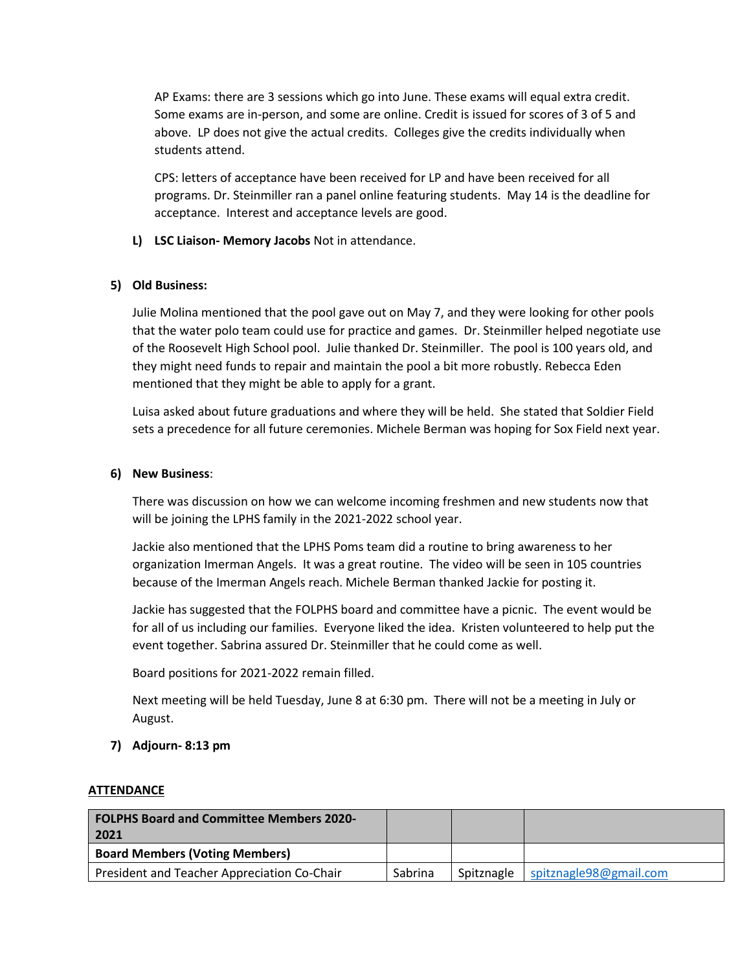AP Exams: there are 3 sessions which go into June. These exams will equal extra credit. Some exams are in-person, and some are online. Credit is issued for scores of 3 of 5 and above. LP does not give the actual credits. Colleges give the credits individually when students attend.

CPS: letters of acceptance have been received for LP and have been received for all programs. Dr. Steinmiller ran a panel online featuring students. May 14 is the deadline for acceptance. Interest and acceptance levels are good.

**L) LSC Liaison- Memory Jacobs** Not in attendance.

# **5) Old Business:**

Julie Molina mentioned that the pool gave out on May 7, and they were looking for other pools that the water polo team could use for practice and games. Dr. Steinmiller helped negotiate use of the Roosevelt High School pool. Julie thanked Dr. Steinmiller. The pool is 100 years old, and they might need funds to repair and maintain the pool a bit more robustly. Rebecca Eden mentioned that they might be able to apply for a grant.

Luisa asked about future graduations and where they will be held. She stated that Soldier Field sets a precedence for all future ceremonies. Michele Berman was hoping for Sox Field next year.

## **6) New Business**:

There was discussion on how we can welcome incoming freshmen and new students now that will be joining the LPHS family in the 2021-2022 school year.

Jackie also mentioned that the LPHS Poms team did a routine to bring awareness to her organization Imerman Angels. It was a great routine. The video will be seen in 105 countries because of the Imerman Angels reach. Michele Berman thanked Jackie for posting it.

Jackie has suggested that the FOLPHS board and committee have a picnic. The event would be for all of us including our families. Everyone liked the idea. Kristen volunteered to help put the event together. Sabrina assured Dr. Steinmiller that he could come as well.

Board positions for 2021-2022 remain filled.

Next meeting will be held Tuesday, June 8 at 6:30 pm. There will not be a meeting in July or August.

# **7) Adjourn- 8:13 pm**

#### **ATTENDANCE**

| <b>FOLPHS Board and Committee Members 2020-</b><br>2021 |         |            |                        |
|---------------------------------------------------------|---------|------------|------------------------|
| <b>Board Members (Voting Members)</b>                   |         |            |                        |
| President and Teacher Appreciation Co-Chair             | Sabrina | Spitznagle | spitznagle98@gmail.com |